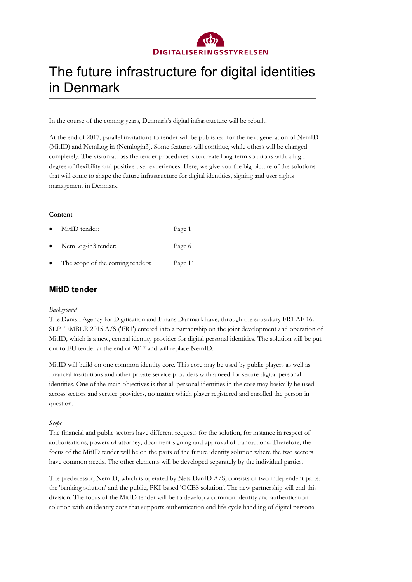

### The future infrastructure for digital identities in Denmark

In the course of the coming years, Denmark's digital infrastructure will be rebuilt.

At the end of 2017, parallel invitations to tender will be published for the next generation of NemID (MitID) and NemLog-in (Nemlogin3). Some features will continue, while others will be changed completely. The vision across the tender procedures is to create long-term solutions with a high degree of flexibility and positive user experiences. Here, we give you the big picture of the solutions that will come to shape the future infrastructure for digital identities, signing and user rights management in Denmark.

### **Content**

| $\bullet$ | MitID tender:                    | Page 1  |
|-----------|----------------------------------|---------|
| $\bullet$ | NemLog-in3 tender:               | Page 6  |
| $\bullet$ | The scope of the coming tenders: | Page 11 |

### **MitID tender**

### *Background*

The Danish Agency for Digitisation and Finans Danmark have, through the subsidiary FR1 AF 16. SEPTEMBER 2015 A/S ('FR1') entered into a partnership on the joint development and operation of MitID, which is a new, central identity provider for digital personal identities. The solution will be put out to EU tender at the end of 2017 and will replace NemID.

MitID will build on one common identity core. This core may be used by public players as well as financial institutions and other private service providers with a need for secure digital personal identities. One of the main objectives is that all personal identities in the core may basically be used across sectors and service providers, no matter which player registered and enrolled the person in question.

### *Scope*

The financial and public sectors have different requests for the solution, for instance in respect of authorisations, powers of attorney, document signing and approval of transactions. Therefore, the focus of the MitID tender will be on the parts of the future identity solution where the two sectors have common needs. The other elements will be developed separately by the individual parties.

The predecessor, NemID, which is operated by Nets DanID A/S, consists of two independent parts: the 'banking solution' and the public, PKI-based 'OCES solution'. The new partnership will end this division. The focus of the MitID tender will be to develop a common identity and authentication solution with an identity core that supports authentication and life-cycle handling of digital personal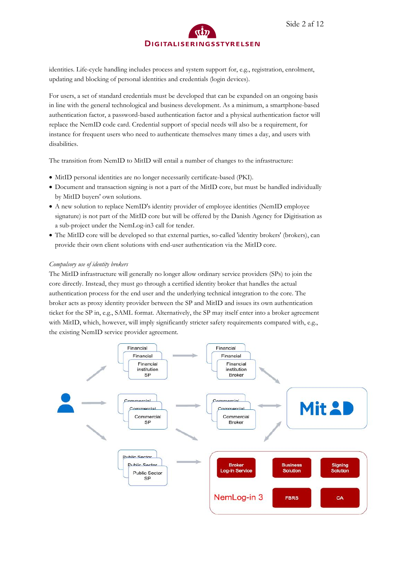identities. Life-cycle handling includes process and system support for, e.g., registration, enrolment, updating and blocking of personal identities and credentials (login devices).

For users, a set of standard credentials must be developed that can be expanded on an ongoing basis in line with the general technological and business development. As a minimum, a smartphone-based authentication factor, a password-based authentication factor and a physical authentication factor will replace the NemID code card. Credential support of special needs will also be a requirement, for instance for frequent users who need to authenticate themselves many times a day, and users with disabilities.

The transition from NemID to MitID will entail a number of changes to the infrastructure:

- MitID personal identities are no longer necessarily certificate-based (PKI).
- Document and transaction signing is not a part of the MitID core, but must be handled individually by MitID buyers' own solutions.
- A new solution to replace NemID's identity provider of employee identities (NemID employee signature) is not part of the MitID core but will be offered by the Danish Agency for Digitisation as a sub-project under the NemLog-in3 call for tender.
- The MitID core will be developed so that external parties, so-called 'identity brokers' (brokers), can provide their own client solutions with end-user authentication via the MitID core.

#### *Compulsory use of identity brokers*

The MitID infrastructure will generally no longer allow ordinary service providers (SPs) to join the core directly. Instead, they must go through a certified identity broker that handles the actual authentication process for the end user and the underlying technical integration to the core. The broker acts as proxy identity provider between the SP and MitID and issues its own authentication ticket for the SP in, e.g., SAML format. Alternatively, the SP may itself enter into a broker agreement with MitID, which, however, will imply significantly stricter safety requirements compared with, e.g., the existing NemID service provider agreement.

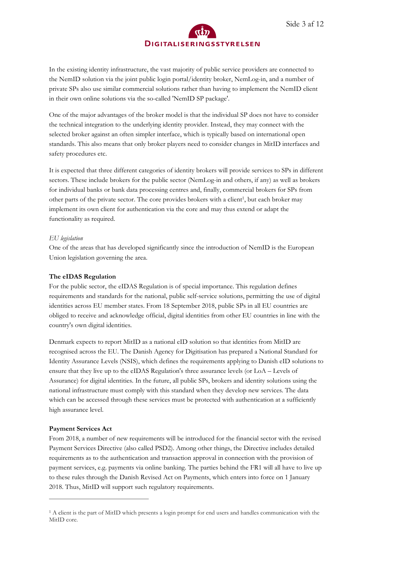In the existing identity infrastructure, the vast majority of public service providers are connected to the NemID solution via the joint public login portal/identity broker, NemLog-in, and a number of private SPs also use similar commercial solutions rather than having to implement the NemID client in their own online solutions via the so-called 'NemID SP package'.

One of the major advantages of the broker model is that the individual SP does not have to consider the technical integration to the underlying identity provider. Instead, they may connect with the selected broker against an often simpler interface, which is typically based on international open standards. This also means that only broker players need to consider changes in MitID interfaces and safety procedures etc.

<span id="page-2-1"></span>It is expected that three different categories of identity brokers will provide services to SPs in different sectors. These include brokers for the public sector (NemLog-in and others, if any) as well as brokers for individual banks or bank data processing centres and, finally, commercial brokers for SPs from other parts of the private sector. The core provides brokers with a client<sup>[1](#page-2-0)</sup>, but each broker may implement its own client for authentication via the core and may thus extend or adapt the functionality as required.

### *EU legislation*

One of the areas that has developed significantly since the introduction of NemID is the European Union legislation governing the area.

### **The eIDAS Regulation**

For the public sector, the eIDAS Regulation is of special importance. This regulation defines requirements and standards for the national, public self-service solutions, permitting the use of digital identities across EU member states. From 18 September 2018, public SPs in all EU countries are obliged to receive and acknowledge official, digital identities from other EU countries in line with the country's own digital identities.

Denmark expects to report MitID as a national eID solution so that identities from MitID are recognised across the EU. The Danish Agency for Digitisation has prepared a National Standard for Identity Assurance Levels (NSIS), which defines the requirements applying to Danish eID solutions to ensure that they live up to the eIDAS Regulation's three assurance levels (or LoA – Levels of Assurance) for digital identities. In the future, all public SPs, brokers and identity solutions using the national infrastructure must comply with this standard when they develop new services. The data which can be accessed through these services must be protected with authentication at a sufficiently high assurance level.

### **Payment Services Act**

-

From 2018, a number of new requirements will be introduced for the financial sector with the revised Payment Services Directive (also called PSD2). Among other things, the Directive includes detailed requirements as to the authentication and transaction approval in connection with the provision of payment services, e.g. payments via online banking. The parties behind the FR1 will all have to live up to these rules through the Danish Revised Act on Payments, which enters into force on 1 January 2018. Thus, MitID will support such regulatory requirements.

<span id="page-2-0"></span>[<sup>1</sup>](#page-2-1) A client is the part of MitID which presents a login prompt for end users and handles communication with the MitID core.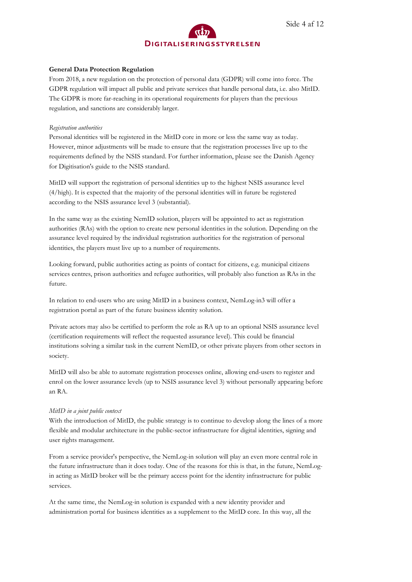

### **General Data Protection Regulation**

From 2018, a new regulation on the protection of personal data (GDPR) will come into force. The GDPR regulation will impact all public and private services that handle personal data, i.e. also MitID. The GDPR is more far-reaching in its operational requirements for players than the previous regulation, and sanctions are considerably larger.

### *Registration authorities*

Personal identities will be registered in the MitID core in more or less the same way as today. However, minor adjustments will be made to ensure that the registration processes live up to the requirements defined by the NSIS standard. For further information, please see the Danish Agency for Digitisation's guide to the NSIS standard.

MitID will support the registration of personal identities up to the highest NSIS assurance level (4/high). It is expected that the majority of the personal identities will in future be registered according to the NSIS assurance level 3 (substantial).

In the same way as the existing NemID solution, players will be appointed to act as registration authorities (RAs) with the option to create new personal identities in the solution. Depending on the assurance level required by the individual registration authorities for the registration of personal identities, the players must live up to a number of requirements.

Looking forward, public authorities acting as points of contact for citizens, e.g. municipal citizens services centres, prison authorities and refugee authorities, will probably also function as RAs in the future.

In relation to end-users who are using MitID in a business context, NemLog-in3 will offer a registration portal as part of the future business identity solution.

Private actors may also be certified to perform the role as RA up to an optional NSIS assurance level (certification requirements will reflect the requested assurance level). This could be financial institutions solving a similar task in the current NemID, or other private players from other sectors in society.

MitID will also be able to automate registration processes online, allowing end-users to register and enrol on the lower assurance levels (up to NSIS assurance level 3) without personally appearing before an RA.

### *MitID in a joint public context*

With the introduction of MitID, the public strategy is to continue to develop along the lines of a more flexible and modular architecture in the public-sector infrastructure for digital identities, signing and user rights management.

From a service provider's perspective, the NemLog-in solution will play an even more central role in the future infrastructure than it does today. One of the reasons for this is that, in the future, NemLogin acting as MitID broker will be the primary access point for the identity infrastructure for public services.

At the same time, the NemLog-in solution is expanded with a new identity provider and administration portal for business identities as a supplement to the MitID core. In this way, all the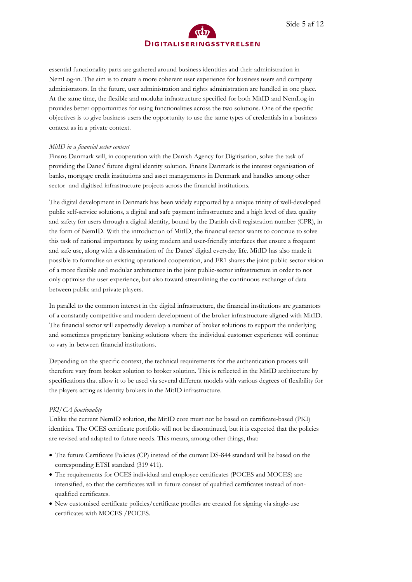essential functionality parts are gathered around business identities and their administration in NemLog-in. The aim is to create a more coherent user experience for business users and company administrators. In the future, user administration and rights administration are handled in one place. At the same time, the flexible and modular infrastructure specified for both MitID and NemLog-in provides better opportunities for using functionalities across the two solutions. One of the specific objectives is to give business users the opportunity to use the same types of credentials in a business context as in a private context.

### *MitID in a financial sector context*

Finans Danmark will, in cooperation with the Danish Agency for Digitisation, solve the task of providing the Danes' future digital identity solution. Finans Danmark is the interest organisation of banks, mortgage credit institutions and asset managements in Denmark and handles among other sector- and digitised infrastructure projects across the financial institutions.

The digital development in Denmark has been widely supported by a unique trinity of well-developed public self-service solutions, a digital and safe payment infrastructure and a high level of data quality and safety for users through a digital identity, bound by the Danish civil registration number (CPR), in the form of NemID. With the introduction of MitID, the financial sector wants to continue to solve this task of national importance by using modern and user-friendly interfaces that ensure a frequent and safe use, along with a dissemination of the Danes' digital everyday life. MitID has also made it possible to formalise an existing operational cooperation, and FR1 shares the joint public-sector vision of a more flexible and modular architecture in the joint public-sector infrastructure in order to not only optimise the user experience, but also toward streamlining the continuous exchange of data between public and private players.

In parallel to the common interest in the digital infrastructure, the financial institutions are guarantors of a constantly competitive and modern development of the broker infrastructure aligned with MitID. The financial sector will expectedly develop a number of broker solutions to support the underlying and sometimes proprietary banking solutions where the individual customer experience will continue to vary in-between financial institutions.

Depending on the specific context, the technical requirements for the authentication process will therefore vary from broker solution to broker solution. This is reflected in the MitID architecture by specifications that allow it to be used via several different models with various degrees of flexibility for the players acting as identity brokers in the MitID infrastructure.

### *PKI/CA functionality*

Unlike the current NemID solution, the MitID core must not be based on certificate-based (PKI) identities. The OCES certificate portfolio will not be discontinued, but it is expected that the policies are revised and adapted to future needs. This means, among other things, that:

- The future Certificate Policies (CP) instead of the current DS-844 standard will be based on the corresponding ETSI standard (319 411).
- The requirements for OCES individual and employee certificates (POCES and MOCES) are intensified, so that the certificates will in future consist of qualified certificates instead of nonqualified certificates.
- New customised certificate policies/certificate profiles are created for signing via single-use certificates with MOCES /POCES.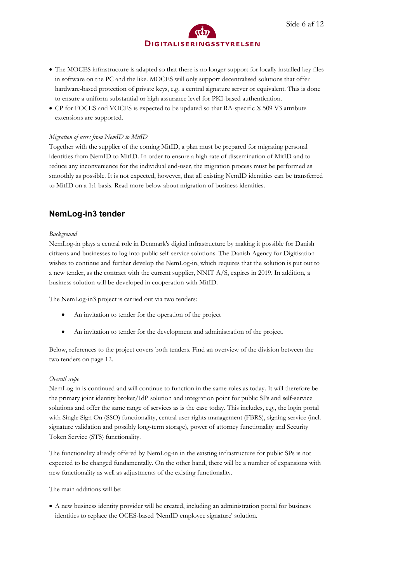CP for FOCES and VOCES is expected to be updated so that RA-specific X.509 V3 attribute extensions are supported.

### *Migration of users from NemID to MitID*

Together with the supplier of the coming MitID, a plan must be prepared for migrating personal identities from NemID to MitID. In order to ensure a high rate of dissemination of MitID and to reduce any inconvenience for the individual end-user, the migration process must be performed as smoothly as possible. It is not expected, however, that all existing NemID identities can be transferred to MitID on a 1:1 basis. Read more below about migration of business identities.

### **NemLog-in3 tender**

### *Background*

NemLog-in plays a central role in Denmark's digital infrastructure by making it possible for Danish citizens and businesses to log into public self-service solutions. The Danish Agency for Digitisation wishes to continue and further develop the NemLog-in, which requires that the solution is put out to a new tender, as the contract with the current supplier, NNIT A/S, expires in 2019. In addition, a business solution will be developed in cooperation with MitID.

The NemLog-in3 project is carried out via two tenders:

- An invitation to tender for the operation of the project
- An invitation to tender for the development and administration of the project.

Below, references to the project covers both tenders. Find an overview of the division between the two tenders on page 12.

### *Overall scope*

NemLog-in is continued and will continue to function in the same roles as today. It will therefore be the primary joint identity broker/IdP solution and integration point for public SPs and self-service solutions and offer the same range of services as is the case today. This includes, e.g., the login portal with Single Sign On (SSO) functionality, central user rights management (FBRS), signing service (incl. signature validation and possibly long-term storage), power of attorney functionality and Security Token Service (STS) functionality.

The functionality already offered by NemLog-in in the existing infrastructure for public SPs is not expected to be changed fundamentally. On the other hand, there will be a number of expansions with new functionality as well as adjustments of the existing functionality.

The main additions will be:

 A new business identity provider will be created, including an administration portal for business identities to replace the OCES-based 'NemID employee signature' solution.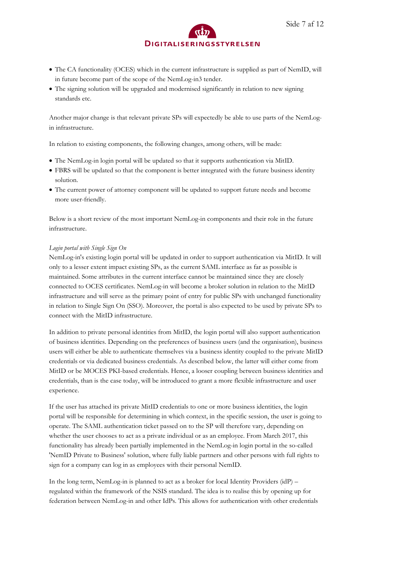- The CA functionality (OCES) which in the current infrastructure is supplied as part of NemID, will in future become part of the scope of the NemLog-in3 tender.
- The signing solution will be upgraded and modernised significantly in relation to new signing standards etc.

Another major change is that relevant private SPs will expectedly be able to use parts of the NemLogin infrastructure.

In relation to existing components, the following changes, among others, will be made:

- The NemLog-in login portal will be updated so that it supports authentication via MitID.
- FBRS will be updated so that the component is better integrated with the future business identity solution.
- The current power of attorney component will be updated to support future needs and become more user-friendly.

Below is a short review of the most important NemLog-in components and their role in the future infrastructure.

### *Login portal with Single Sign On*

NemLog-in's existing login portal will be updated in order to support authentication via MitID. It will only to a lesser extent impact existing SPs, as the current SAML interface as far as possible is maintained. Some attributes in the current interface cannot be maintained since they are closely connected to OCES certificates. NemLog-in will become a broker solution in relation to the MitID infrastructure and will serve as the primary point of entry for public SPs with unchanged functionality in relation to Single Sign On (SSO). Moreover, the portal is also expected to be used by private SPs to connect with the MitID infrastructure.

In addition to private personal identities from MitID, the login portal will also support authentication of business identities. Depending on the preferences of business users (and the organisation), business users will either be able to authenticate themselves via a business identity coupled to the private MitID credentials or via dedicated business credentials. As described below, the latter will either come from MitID or be MOCES PKI-based credentials. Hence, a looser coupling between business identities and credentials, than is the case today, will be introduced to grant a more flexible infrastructure and user experience.

If the user has attached its private MitID credentials to one or more business identities, the login portal will be responsible for determining in which context, in the specific session, the user is going to operate. The SAML authentication ticket passed on to the SP will therefore vary, depending on whether the user chooses to act as a private individual or as an employee. From March 2017, this functionality has already been partially implemented in the NemLog-in login portal in the so-called 'NemID Private to Business' solution, where fully liable partners and other persons with full rights to sign for a company can log in as employees with their personal NemID.

In the long term, NemLog-in is planned to act as a broker for local Identity Providers (idP) – regulated within the framework of the NSIS standard. The idea is to realise this by opening up for federation between NemLog-in and other IdPs. This allows for authentication with other credentials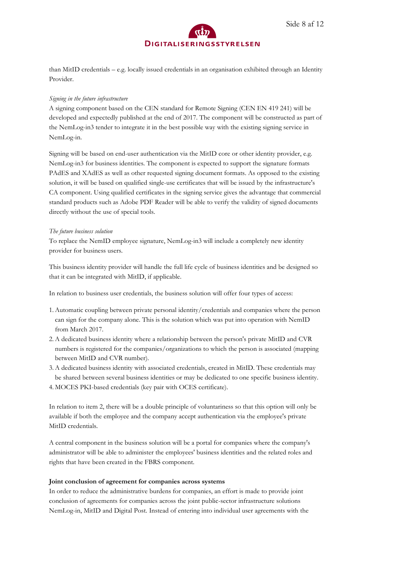

Side 8 af 12

than MitID credentials – e.g. locally issued credentials in an organisation exhibited through an Identity Provider.

### *Signing in the future infrastructure*

A signing component based on the CEN standard for Remote Signing (CEN EN 419 241) will be developed and expectedly published at the end of 2017. The component will be constructed as part of the NemLog-in3 tender to integrate it in the best possible way with the existing signing service in NemLog-in.

Signing will be based on end-user authentication via the MitID core or other identity provider, e.g. NemLog-in3 for business identities. The component is expected to support the signature formats PAdES and XAdES as well as other requested signing document formats. As opposed to the existing solution, it will be based on qualified single-use certificates that will be issued by the infrastructure's CA component. Using qualified certificates in the signing service gives the advantage that commercial standard products such as Adobe PDF Reader will be able to verify the validity of signed documents directly without the use of special tools.

### *The future business solution*

To replace the NemID employee signature, NemLog-in3 will include a completely new identity provider for business users.

This business identity provider will handle the full life cycle of business identities and be designed so that it can be integrated with MitID, if applicable.

In relation to business user credentials, the business solution will offer four types of access:

- 1.Automatic coupling between private personal identity/credentials and companies where the person can sign for the company alone. This is the solution which was put into operation with NemID from March 2017.
- 2.A dedicated business identity where a relationship between the person's private MitID and CVR numbers is registered for the companies/organizations to which the person is associated (mapping between MitID and CVR number).
- 3.A dedicated business identity with associated credentials, created in MitID. These credentials may be shared between several business identities or may be dedicated to one specific business identity.
- 4. MOCES PKI-based credentials (key pair with OCES certificate).

In relation to item 2, there will be a double principle of voluntariness so that this option will only be available if both the employee and the company accept authentication via the employee's private MitID credentials.

A central component in the business solution will be a portal for companies where the company's administrator will be able to administer the employees' business identities and the related roles and rights that have been created in the FBRS component.

### **Joint conclusion of agreement for companies across systems**

In order to reduce the administrative burdens for companies, an effort is made to provide joint conclusion of agreements for companies across the joint public-sector infrastructure solutions NemLog-in, MitID and Digital Post. Instead of entering into individual user agreements with the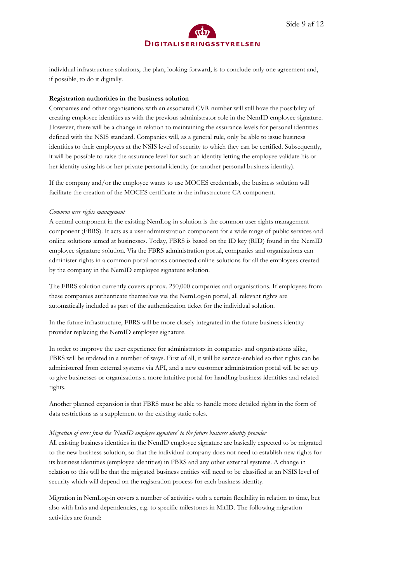

individual infrastructure solutions, the plan, looking forward, is to conclude only one agreement and, if possible, to do it digitally.

### **Registration authorities in the business solution**

Companies and other organisations with an associated CVR number will still have the possibility of creating employee identities as with the previous administrator role in the NemID employee signature. However, there will be a change in relation to maintaining the assurance levels for personal identities defined with the NSIS standard. Companies will, as a general rule, only be able to issue business identities to their employees at the NSIS level of security to which they can be certified. Subsequently, it will be possible to raise the assurance level for such an identity letting the employee validate his or her identity using his or her private personal identity (or another personal business identity).

If the company and/or the employee wants to use MOCES credentials, the business solution will facilitate the creation of the MOCES certificate in the infrastructure CA component.

### *Common user rights management*

A central component in the existing NemLog-in solution is the common user rights management component (FBRS). It acts as a user administration component for a wide range of public services and online solutions aimed at businesses. Today, FBRS is based on the ID key (RID) found in the NemID employee signature solution. Via the FBRS administration portal, companies and organisations can administer rights in a common portal across connected online solutions for all the employees created by the company in the NemID employee signature solution.

The FBRS solution currently covers approx. 250,000 companies and organisations. If employees from these companies authenticate themselves via the NemLog-in portal, all relevant rights are automatically included as part of the authentication ticket for the individual solution.

In the future infrastructure, FBRS will be more closely integrated in the future business identity provider replacing the NemID employee signature.

In order to improve the user experience for administrators in companies and organisations alike, FBRS will be updated in a number of ways. First of all, it will be service-enabled so that rights can be administered from external systems via API, and a new customer administration portal will be set up to give businesses or organisations a more intuitive portal for handling business identities and related rights.

Another planned expansion is that FBRS must be able to handle more detailed rights in the form of data restrictions as a supplement to the existing static roles.

### *Migration of users from the 'NemID employee signature' to the future business identity provider*

All existing business identities in the NemID employee signature are basically expected to be migrated to the new business solution, so that the individual company does not need to establish new rights for its business identities (employee identities) in FBRS and any other external systems. A change in relation to this will be that the migrated business entities will need to be classified at an NSIS level of security which will depend on the registration process for each business identity.

Migration in NemLog-in covers a number of activities with a certain flexibility in relation to time, but also with links and dependencies, e.g. to specific milestones in MitID. The following migration activities are found: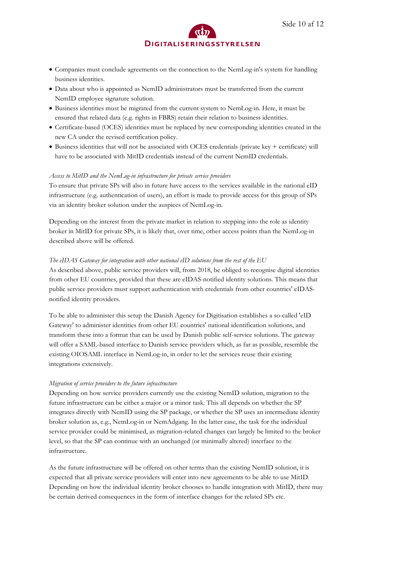- Companies must conclude agreements on the connection to the NemLog-in's system for handling business identities.
- Data about who is appointed as NemID administrators must be transferred from the current NemID employee signature solution.
- Business identities must be migrated from the current system to NemLog-in. Here, it must be ensured that related data (e.g. rights in FBRS) retain their relation to business identities.
- Certificate-based (OCES) identities must be replaced by new corresponding identities created in the new CA under the revised certification policy.
- Business identities that will not be associated with OCES credentials (private key + certificate) will have to be associated with MitID credentials instead of the current NemID credentials.

### *Access to MitID and the NemLog-in infrastructure for private service providers*

To ensure that private SPs will also in future have access to the services available in the national eID infrastructure (e.g. authentication of users), an effort is made to provide access for this group of SPs via an identity broker solution under the auspices of NemLog-in.

Depending on the interest from the private market in relation to stepping into the role as identity broker in MitID for private SPs, it is likely that, over time, other access points than the NemLog-in described above will be offered.

### *The eIDAS Gateway for integration with other national eID solutions from the rest of the EU*

As described above, public service providers will, from 2018, be obliged to recognise digital identities from other EU countries, provided that these are eIDAS-notified identity solutions. This means that public service providers must support authentication with credentials from other countries' eIDASnotified identity providers.

To be able to administer this setup the Danish Agency for Digitisation establishes a so-called 'eID Gateway' to administer identities from other EU countries' national identification solutions, and transform these into a format that can be used by Danish public self-service solutions. The gateway will offer a SAML-based interface to Danish service providers which, as far as possible, resemble the existing OIOSAML interface in NemLog-in, in order to let the services reuse their existing integrations extensively.

#### *Migration of service providers to the future infrastructure*

Depending on how service providers currently use the existing NemID solution, migration to the future infrastructure can be either a major or a minor task. This all depends on whether the SP integrates directly with NemID using the SP package, or whether the SP uses an intermediate identity broker solution as, e.g., NemLog-in or NemAdgang. In the latter case, the task for the individual service provider could be minimised, as migration-related changes can largely be limited to the broker level, so that the SP can continue with an unchanged (or minimally altered) interface to the infrastructure.

As the future infrastructure will be offered on other terms than the existing NemID solution, it is expected that all private service providers will enter into new agreements to be able to use MitID. Depending on how the individual identity broker chooses to handle integration with MitID, there may be certain derived consequences in the form of interface changes for the related SPs etc.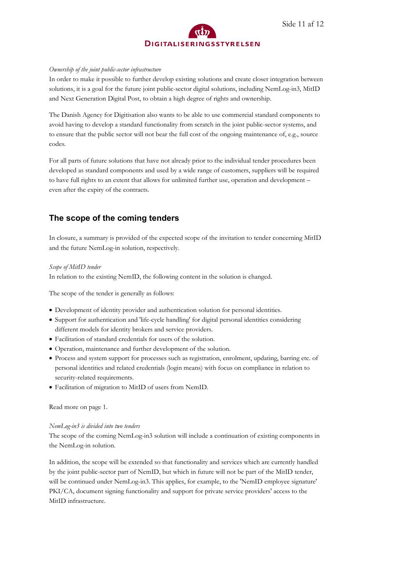

### *Ownership of the joint public-sector infrastructure*

In order to make it possible to further develop existing solutions and create closer integration between solutions, it is a goal for the future joint public-sector digital solutions, including NemLog-in3, MitID and Next Generation Digital Post, to obtain a high degree of rights and ownership.

The Danish Agency for Digitisation also wants to be able to use commercial standard components to avoid having to develop a standard functionality from scratch in the joint public-sector systems, and to ensure that the public sector will not bear the full cost of the ongoing maintenance of, e.g., source codes.

For all parts of future solutions that have not already prior to the individual tender procedures been developed as standard components and used by a wide range of customers, suppliers will be required to have full rights to an extent that allows for unlimited further use, operation and development – even after the expiry of the contracts.

### **The scope of the coming tenders**

In closure, a summary is provided of the expected scope of the invitation to tender concerning MitID and the future NemLog-in solution, respectively.

### *Scope of MitID tender*

In relation to the existing NemID, the following content in the solution is changed.

The scope of the tender is generally as follows:

- Development of identity provider and authentication solution for personal identities.
- Support for authentication and 'life-cycle handling' for digital personal identities considering different models for identity brokers and service providers.
- Facilitation of standard credentials for users of the solution.
- Operation, maintenance and further development of the solution.
- Process and system support for processes such as registration, enrolment, updating, barring etc. of personal identities and related credentials (login means) with focus on compliance in relation to security-related requirements.
- Facilitation of migration to MitID of users from NemID.

Read more on page 1.

### *NemLog-in3 is divided into two tenders*

The scope of the coming NemLog-in3 solution will include a continuation of existing components in the NemLog-in solution.

In addition, the scope will be extended so that functionality and services which are currently handled by the joint public-sector part of NemID, but which in future will not be part of the MitID tender, will be continued under NemLog-in3. This applies, for example, to the 'NemID employee signature' PKI/CA, document signing functionality and support for private service providers' access to the MitID infrastructure.